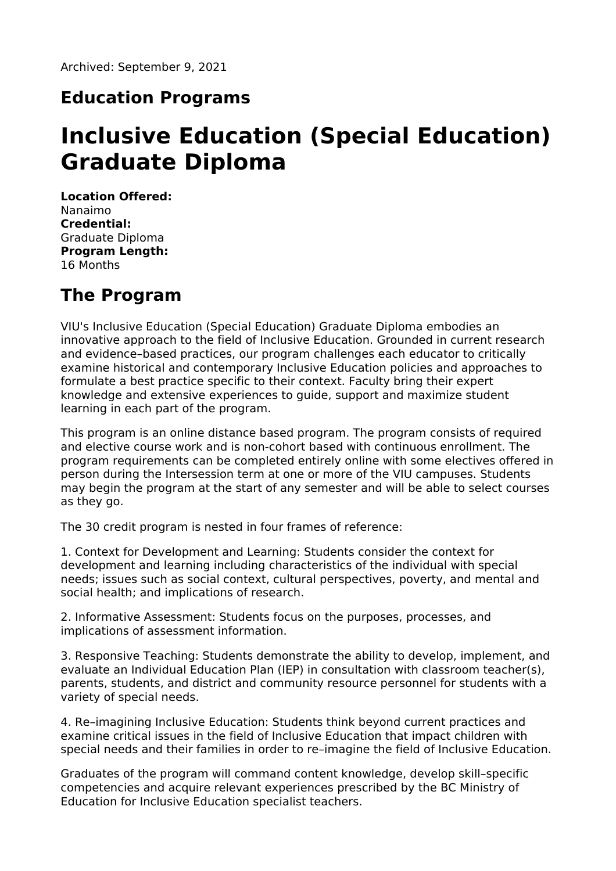## **Education Programs**

# **Inclusive Education (Special Education) Graduate Diploma**

**Location Offered:** Nanaimo **Credential:** Graduate Diploma **Program Length:** 16 Months

### **The Program**

VIU's Inclusive Education (Special Education) Graduate Diploma embodies an innovative approach to the field of Inclusive Education. Grounded in current research and evidence–based practices, our program challenges each educator to critically examine historical and contemporary Inclusive Education policies and approaches to formulate a best practice specific to their context. Faculty bring their expert knowledge and extensive experiences to guide, support and maximize student learning in each part of the program.

This program is an online distance based program. The program consists of required and elective course work and is non-cohort based with continuous enrollment. The program requirements can be completed entirely online with some electives offered in person during the Intersession term at one or more of the VIU campuses. Students may begin the program at the start of any semester and will be able to select courses as they go.

The 30 credit program is nested in four frames of reference:

1. Context for Development and Learning: Students consider the context for development and learning including characteristics of the individual with special needs; issues such as social context, cultural perspectives, poverty, and mental and social health; and implications of research.

2. Informative Assessment: Students focus on the purposes, processes, and implications of assessment information.

3. Responsive Teaching: Students demonstrate the ability to develop, implement, and evaluate an Individual Education Plan (IEP) in consultation with classroom teacher(s), parents, students, and district and community resource personnel for students with a variety of special needs.

4. Re–imagining Inclusive Education: Students think beyond current practices and examine critical issues in the field of Inclusive Education that impact children with special needs and their families in order to re–imagine the field of Inclusive Education.

Graduates of the program will command content knowledge, develop skill–specific competencies and acquire relevant experiences prescribed by the BC Ministry of Education for Inclusive Education specialist teachers.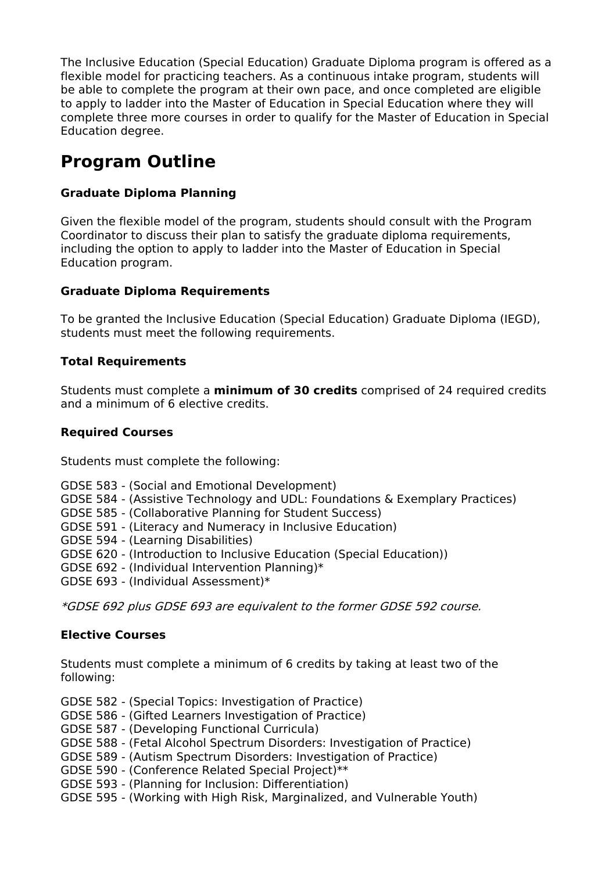The Inclusive Education (Special Education) Graduate Diploma program is offered as a flexible model for practicing teachers. As a continuous intake program, students will be able to complete the program at their own pace, and once completed are eligible to apply to ladder into the Master of Education in Special Education where they will complete three more courses in order to qualify for the Master of Education in Special Education degree.

# **Program Outline**

### **Graduate Diploma Planning**

Given the flexible model of the program, students should consult with the Program Coordinator to discuss their plan to satisfy the graduate diploma requirements, including the option to apply to ladder into the Master of Education in Special Education program.

### **Graduate Diploma Requirements**

To be granted the Inclusive Education (Special Education) Graduate Diploma (IEGD), students must meet the following requirements.

#### **Total Requirements**

Students must complete a **minimum of 30 credits** comprised of 24 required credits and a minimum of 6 elective credits.

#### **Required Courses**

Students must complete the following:

- GDSE 583 (Social and Emotional Development)
- GDSE 584 (Assistive Technology and UDL: Foundations & Exemplary Practices)
- GDSE 585 (Collaborative Planning for Student Success)
- GDSE 591 (Literacy and Numeracy in Inclusive Education)
- GDSE 594 (Learning Disabilities)
- GDSE 620 (Introduction to Inclusive Education (Special Education))
- GDSE 692 (Individual Intervention Planning)\*
- GDSE 693 (Individual Assessment)\*

\*GDSE 692 plus GDSE 693 are equivalent to the former GDSE 592 course.

#### **Elective Courses**

Students must complete a minimum of 6 credits by taking at least two of the following:

- GDSE 582 (Special Topics: Investigation of Practice)
- GDSE 586 (Gifted Learners Investigation of Practice)
- GDSE 587 (Developing Functional Curricula)
- GDSE 588 (Fetal Alcohol Spectrum Disorders: Investigation of Practice)
- GDSE 589 (Autism Spectrum Disorders: Investigation of Practice)
- GDSE 590 (Conference Related Special Project)\*\*
- GDSE 593 (Planning for Inclusion: Differentiation)
- GDSE 595 (Working with High Risk, Marginalized, and Vulnerable Youth)